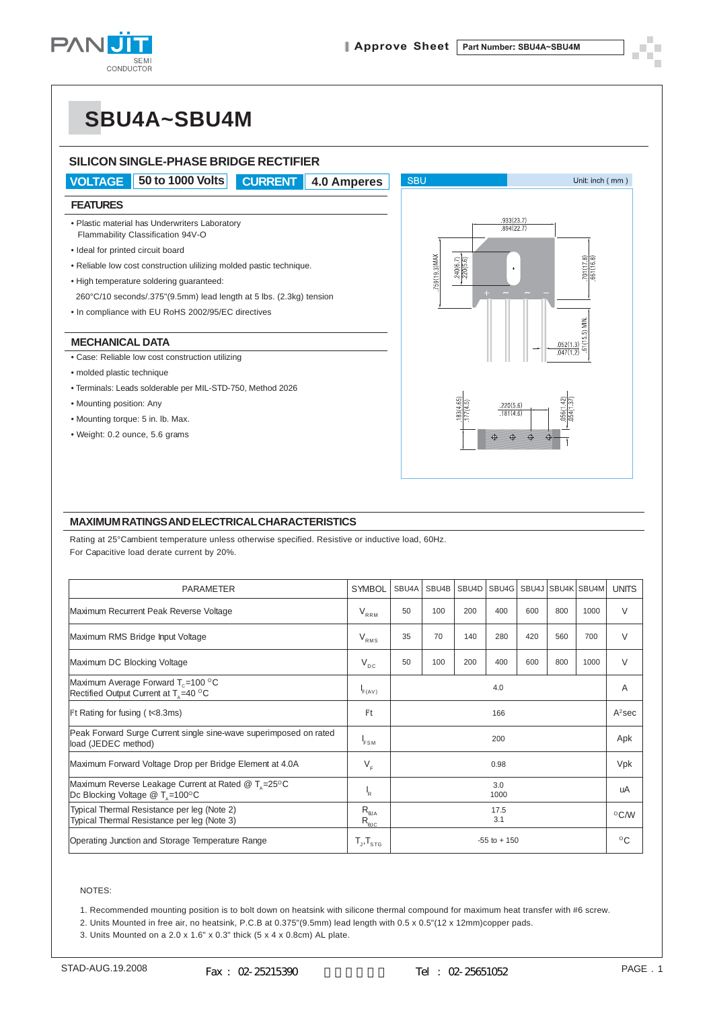

# **SBU4A~SBU4M**

### **SILICON SINGLE-PHASE BRIDGE RECTIFIER VOLTAGE 50 to 1000 Volts CURRENT 4.0 Amperes SBU** Unit: inch (mm) **FEATURES** 933(23) • Plastic material has Underwriters Laboratory  $894(2)$ Flammability Classification 94V-O • Ideal for printed circuit board KAMKS OFIC 240(6.7)<br>220(5.6) • Reliable low cost construction ulilizing molded pastic technique. • High temperature soldering guaranteed: 260°C/10 seconds/.375"(9.5mm) lead length at 5 lbs. (2.3kg) tension • In compliance with EU RoHS 2002/95/EC directives **MECHANICAL DATA** • Case: Reliable low cost construction utilizing • molded plastic technique • Terminals: Leads solderable per MIL-STD-750, Method 2026 • Mounting position: Any  $220(56)$ • Mounting torque: 5 in. lb. Max. • Weight: 0.2 ounce, 5.6 grams

### **MAXIMUM RATINGS AND ELECTRICAL CHARACTERISTICS**

Rating at 25°Cambient temperature unless otherwise specified. Resistive or inductive load, 60Hz. For Capacitive load derate current by 20%.

| <b>PARAMETER</b>                                                                                      | <b>SYMBOL</b>                    | SBU <sub>4</sub> A | SBU4B | SBU4D | SBU4G |     |     | SBU4J SBU4K SBU4M | <b>UNITS</b>   |
|-------------------------------------------------------------------------------------------------------|----------------------------------|--------------------|-------|-------|-------|-----|-----|-------------------|----------------|
|                                                                                                       |                                  |                    |       |       |       |     |     |                   |                |
| Maximum Recurrent Peak Reverse Voltage                                                                | $V_{RRM}$                        | 50                 | 100   | 200   | 400   | 600 | 800 | 1000              | $\vee$         |
| Maximum RMS Bridge Input Voltage                                                                      | $V_{RMS}$                        | 35                 | 70    | 140   | 280   | 420 | 560 | 700               | $\vee$         |
| Maximum DC Blocking Voltage                                                                           | $V_{DC}$                         | 50                 | 100   | 200   | 400   | 600 | 800 | 1000              | $\vee$         |
| Maximum Average Forward $T_c = 100 °C$<br>Rectified Output Current at T <sub>s</sub> =40 °C           | F(AV)                            | 4.0                |       |       |       |     |     |                   | A              |
| $ $ <sup>P</sup> t Rating for fusing ( $t$ <8.3ms)                                                    | $P_t$                            | 166                |       |       |       |     |     |                   | $A^2$ sec      |
| Peak Forward Surge Current single sine-wave superimposed on rated<br>load (JEDEC method)              | <b>FSM</b>                       | 200                |       |       |       |     |     |                   | Apk            |
| Maximum Forward Voltage Drop per Bridge Element at 4.0A                                               | $V_F$                            | 0.98               |       |       |       |     |     |                   | Vpk            |
| Maximum Reverse Leakage Current at Rated @ T <sub>n</sub> =25°C<br>Dc Blocking Voltage $@T_{1}=100°C$ | 'R                               | 3.0<br>1000        |       |       |       |     |     |                   | uA             |
| Typical Thermal Resistance per leg (Note 2)<br>Typical Thermal Resistance per leg (Note 3)            | $R_{\theta$ JA<br>$R_{\theta$ JC | 17.5<br>3.1        |       |       |       |     |     |                   | $^{\circ}$ C/W |
| Operating Junction and Storage Temperature Range                                                      | $T_{J}$ , $T_{STG}$              | $-55$ to $+150$    |       |       |       |     |     |                   | $^{\circ}$ C   |

#### NOTES:

1. Recommended mounting position is to bolt down on heatsink with silicone thermal compound for maximum heat transfer with #6 screw.

2. Units Mounted in free air, no heatsink, P.C.B at 0.375"(9.5mm) lead length with 0.5 x 0.5"(12 x 12mm)copper pads.

3. Units Mounted on a 2.0 x 1.6" x 0.3" thick (5 x 4 x 0.8cm) AL plate.